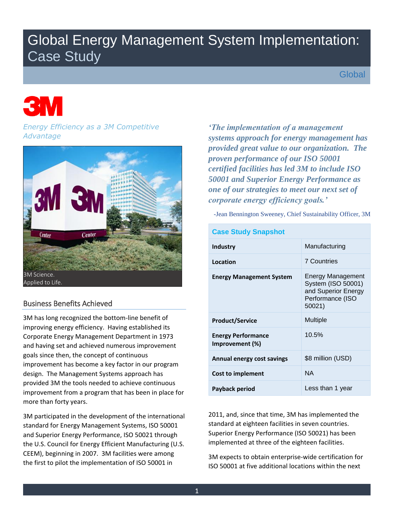# Global Energy Management System Implementation: Case Study

**Global** 

# *Energy Efficiency as a 3M Competitive Advantage*



# Business Benefits Achieved

 design. The Management Systems approach has 3M has long recognized the bottom-line benefit of improving energy efficiency. Having established its Corporate Energy Management Department in 1973 and having set and achieved numerous improvement goals since then, the concept of continuous improvement has become a key factor in our program provided 3M the tools needed to achieve continuous improvement from a program that has been in place for more than forty years.

 and Superior Energy Performance, ISO 50021 through CEEM), beginning in 2007. 3M facilities were among the first to pilot the implementation of ISO 50001 in 3M participated in the development of the international standard for Energy Management Systems, ISO 50001 the U.S. Council for Energy Efficient Manufacturing (U.S.

*'The implementation of a management systems approach for energy management has provided great value to our organization. The proven performance of our ISO 50001 certified facilities has led 3M to include ISO 50001 and Superior Energy Performance as one of our strategies to meet our next set of corporate energy efficiency goals.'* 

-Jean Bennington Sweeney, Chief Sustainability Officer, 3M

| <b>Case Study Snapshot</b>                   |                                                                                                     |  |  |  |
|----------------------------------------------|-----------------------------------------------------------------------------------------------------|--|--|--|
| <b>Industry</b>                              | Manufacturing                                                                                       |  |  |  |
| Location                                     | <b>7 Countries</b>                                                                                  |  |  |  |
| <b>Energy Management System</b>              | <b>Energy Management</b><br>System (ISO 50001)<br>and Superior Energy<br>Performance (ISO<br>50021) |  |  |  |
| <b>Product/Service</b>                       | Multiple                                                                                            |  |  |  |
| <b>Energy Performance</b><br>Improvement (%) | 10.5%                                                                                               |  |  |  |
| Annual energy cost savings                   | \$8 million (USD)                                                                                   |  |  |  |
| <b>Cost to implement</b>                     | <b>NA</b>                                                                                           |  |  |  |
| Payback period                               | Less than 1 year                                                                                    |  |  |  |

 Superior Energy Performance (ISO 50021) has been 2011, and, since that time, 3M has implemented the standard at eighteen facilities in seven countries. implemented at three of the eighteen facilities.

3M expects to obtain enterprise-wide certification for ISO 50001 at five additional locations within the next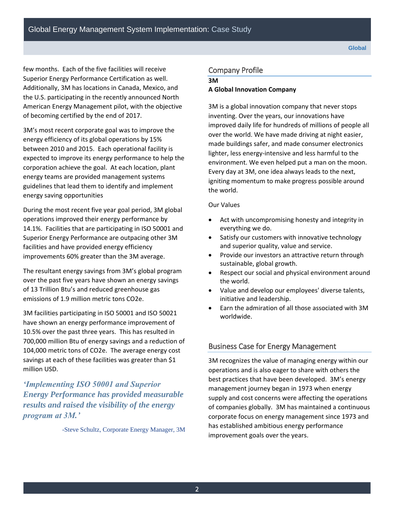few months. Each of the five facilities will receive Superior Energy Performance Certification as well. Additionally, 3M has locations in Canada, Mexico, and the U.S. participating in the recently announced North American Energy Management pilot, with the objective of becoming certified by the end of 2017.

 between 2010 and 2015. Each operational facility is 3M's most recent corporate goal was to improve the energy efficiency of its global operations by 15% expected to improve its energy performance to help the corporation achieve the goal. At each location, plant energy teams are provided management systems guidelines that lead them to identify and implement energy saving opportunities

During the most recent five year goal period, 3M global operations improved their energy performance by 14.1%. Facilities that are participating in ISO 50001 and Superior Energy Performance are outpacing other 3M facilities and have provided energy efficiency improvements 60% greater than the 3M average.

The resultant energy savings from 3M's global program over the past five years have shown an energy savings of 13 Trillion Btu's and reduced greenhouse gas emissions of 1.9 million metric tons CO2e.

 700,000 million Btu of energy savings and a reduction of 104,000 metric tons of CO2e. The average energy cost 3M facilities participating in ISO 50001 and ISO 50021 have shown an energy performance improvement of 10.5% over the past three years. This has resulted in savings at each of these facilities was greater than \$1 million USD.

*'Implementing ISO 50001 and Superior Energy Performance has provided measurable results and raised the visibility of the energy program at 3M.'* 

-Steve Schultz, Corporate Energy Manager, 3M

# Company Profile

#### **3M**

#### **A Global Innovation Company**

 improved daily life for hundreds of millions of people all 3M is a global innovation company that never stops inventing. Over the years, our innovations have over the world. We have made driving at night easier, made buildings safer, and made consumer electronics lighter, less energy-intensive and less harmful to the environment. We even helped put a man on the moon. Every day at 3M, one idea always leads to the next, igniting momentum to make progress possible around the world.

### Our Values

- Act with uncompromising honesty and integrity in everything we do.
- Satisfy our customers with innovative technology and superior quality, value and service.
- Provide our investors an attractive return through sustainable, global growth.
- Respect our social and physical environment around the world.
- initiative and leadership. Value and develop our employees' diverse talents,
- Earn the admiration of all those associated with 3M worldwide.

# Business Case for Energy Management

3M recognizes the value of managing energy within our operations and is also eager to share with others the best practices that have been developed. 3M's energy management journey began in 1973 when energy supply and cost concerns were affecting the operations of companies globally. 3M has maintained a continuous corporate focus on energy management since 1973 and has established ambitious energy performance improvement goals over the years.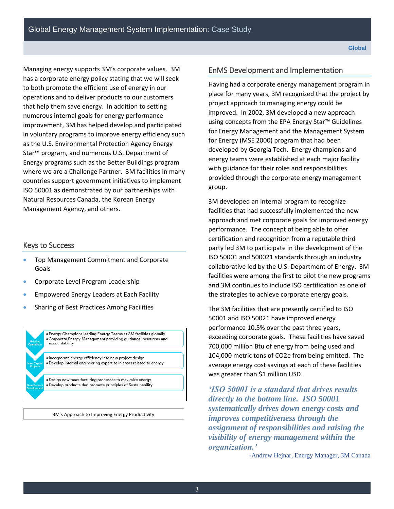Managing energy supports 3M's corporate values. 3M has a corporate energy policy stating that we will seek where we are a Challenge Partner. 3M facilities in many Management Agency, and others. to both promote the efficient use of energy in our operations and to deliver products to our customers that help them save energy. In addition to setting numerous internal goals for energy performance improvement, 3M has helped develop and participated in voluntary programs to improve energy efficiency such as the U.S. Environmental Protection Agency Energy Star™ program, and numerous U.S. Department of Energy programs such as the Better Buildings program countries support government initiatives to implement ISO 50001 as demonstrated by our partnerships with Natural Resources Canada, the Korean Energy

# Keys to Success

- **Top Management Commitment and Corporate** Goals
- Corporate Level Program Leadership
- Empowered Energy Leaders at Each Facility
- **Sharing of Best Practices Among Facilities**



3M's Approach to Improving Energy Productivity

# EnMS Development and Implementation

 improved. In 2002, 3M developed a new approach Having had a corporate energy management program in place for many years, 3M recognized that the project by project approach to managing energy could be using concepts from the EPA Energy Star™ Guidelines for Energy Management and the Management System for Energy (MSE 2000) program that had been developed by Georgia Tech. Energy champions and energy teams were established at each major facility with guidance for their roles and responsibilities provided through the corporate energy management group.

 performance. The concept of being able to offer 3M developed an internal program to recognize facilities that had successfully implemented the new approach and met corporate goals for improved energy certification and recognition from a reputable third party led 3M to participate in the development of the ISO 50001 and 500021 standards through an industry collaborative led by the U.S. Department of Energy. 3M facilities were among the first to pilot the new programs and 3M continues to include ISO certification as one of the strategies to achieve corporate energy goals.

 104,000 metric tons of CO2e from being emitted. The The 3M facilities that are presently certified to ISO 50001 and ISO 50021 have improved energy performance 10.5% over the past three years, exceeding corporate goals. These facilities have saved 700,000 million Btu of energy from being used and average energy cost savings at each of these facilities was greater than \$1 million USD.

*'ISO 50001 is a standard that drives results directly to the bottom line. ISO 50001 systematically drives down energy costs and improves competitiveness through the assignment of responsibilities and raising the visibility of energy management within the organization.'* 

-Andrew Hejnar, Energy Manager, 3M Canada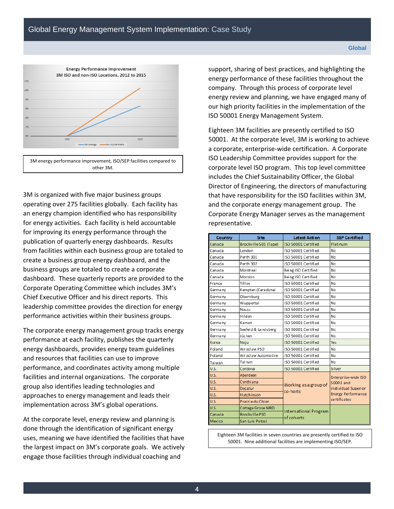

 3M is organized with five major business groups operating over 275 facilities globally. Each facility has an energy champion identified who has responsibility for energy activities. Each facility is held accountable for improving its energy performance through the publication of quarterly energy dashboards. Results from facilities within each business group are totaled to create a business group energy dashboard, and the business groups are totaled to create a corporate dashboard. These quarterly reports are provided to the Corporate Operating Committee which includes 3M's Chief Executive Officer and his direct reports. This leadership committee provides the direction for energy performance activities within their business groups.

The corporate energy management group tracks energy performance at each facility, publishes the quarterly energy dashboards, provides energy team guidelines and resources that facilities can use to improve performance, and coordinates activity among multiple facilities and internal organizations. The corporate group also identifies leading technologies and approaches to energy management and leads their implementation across 3M's global operations.

At the corporate level, energy review and planning is done through the identification of significant energy uses, meaning we have identified the facilities that have the largest impact on 3M's corporate goals. We actively engage those facilities through individual coaching and

support, sharing of best practices, and highlighting the energy performance of these facilities throughout the company. Through this process of corporate level energy review and planning, we have engaged many of our high priority facilities in the implementation of the ISO 50001 Energy Management System.

 and the corporate energy management group. The representative. Eighteen 3M facilities are presently certified to ISO 50001. At the corporate level, 3M is working to achieve a corporate, enterprise-wide certification. A Corporate ISO Leadership Committee provides support for the corporate level ISO program. This top level committee includes the Chief Sustainability Officer, the Global Director of Engineering, the directors of manufacturing that have responsibility for the ISO facilities within 3M, Corporate Energy Manager serves as the management

| Country  | <b>Site</b>           | <b>Latest Action</b>                       | <b>SEP Certified</b>             |  |
|----------|-----------------------|--------------------------------------------|----------------------------------|--|
| Canada   | Brockville 501 (Tape) | ISO 50001 Certified                        | Platinum                         |  |
| Canada   | London                | ISO 50001 Certified                        | No                               |  |
| Canada   | Perth 301             | ISO 50001 Certified                        | No                               |  |
| Canada   | Perth 302             | ISO 50001 Certified                        | No                               |  |
| Canada   | Montreal              | Being ISO Certified                        | No                               |  |
| Canada   | Mordon                | Being ISO Certified                        | Nο                               |  |
| Erance   | Tillov                | ISO 50001 Certified                        | No                               |  |
| Germa ny | Kempten (Ceradyne)    | ISO 50001 Certified                        | No                               |  |
| Germa ny | Obernburg             | ISO 50001 Certified                        | No                               |  |
| Germa ny | Wuppertal             | ISO 50001 Certified                        | No                               |  |
| Germany  | Neuss                 | ISO 50001 Certified                        | No                               |  |
| Germa ny | Hilden                | ISO 50001 Certified                        | No                               |  |
| Germany  | Kamen                 | ISO 50001 Certified                        | Nο                               |  |
| Germany  | Seefeld & Landsberg   | ISO 50001 Certified                        | No                               |  |
| Germa ny | Jüchen                | ISO 50001 Certified                        | No                               |  |
| Korea    | Naju                  | ISO 50001 Certified                        | Yes                              |  |
| Poland   | Wroclaw PSD           | ISO 50001 Certified                        | No                               |  |
| Poland   | Wroclaw Automotive    | ISO 50001 Certified                        | No                               |  |
| Taiwan   | Tainan                | ISO 50001 Certified                        | No                               |  |
| U.S.     | Cordova               | ISO 50001 Certified                        | <b>Silver</b>                    |  |
| U.S.     | Aberdeen              |                                            | Enterprise-wide ISO<br>50001 and |  |
| U.S.     | Cynthi ana            | Working as a group of                      |                                  |  |
| U.S.     | Decatur               | co-horts                                   | individual Superior              |  |
| U.S.     | <b>Hutchins</b> on    |                                            | <b>Energy Performance</b>        |  |
| U.S.     | Prairie du Chien      |                                            | certi ficates                    |  |
| U.S.     | Cottage Grove MRD     |                                            |                                  |  |
| Canada   | <b>Brockville PSD</b> | <b>International Program</b><br>of cohorts |                                  |  |
| Mexico   | San Luis Potosi       |                                            |                                  |  |

50001. Nine additional facilities are implementing ISO/SEP.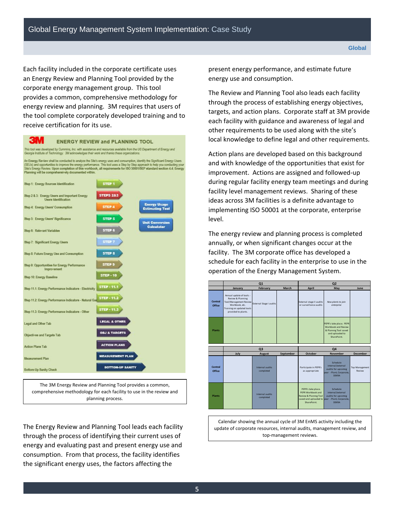Each facility included in the corporate certificate uses an Energy Review and Planning Tool provided by the corporate energy management group. This tool provides a common, comprehensive methodology for energy review and planning. 3M requires that users of the tool complete corporately developed training and to receive certification for its use.

**3M ENERGY REVIEW and PLANNING TOOL** .<br>This tool was developed by Cummins, Inc. with assistance and resources available from the US Department of Energy and<br>Georgia Institute of Technology. 3M adknowledges their work and thanks these organizations. An Energy Review shall be conducted to analyze the Site's energy uses and consumption, identify the Significant Energy Users<br>(SEUs) and opportunities to improve the energy performance. This tool uses a Step by Step approac Planning will be comprehensively documented within. Step 1: Energy Sources Identification STEP 1 Step 2 & 3: Energy Users and Important Energy **STEPS 283** ra Identificatio Step 4: Energy Users' Consumption **STEP 4** Step 5: Energy Users' Significance STEP 5 STEP 6 Step 6: Relevant Variables Step 7: Significant Energy Users STEP 8 Step 8: Future Energy Use and Consumption Step 9: Opportunities for Energy Performance STEP 9 Improvem **STEP - 10** Step 10: Energy Baseline Step 11.1: Energy Performance Indicators - Electricity STEP - 11.1 Step 11.2: Energy Performance Indicators - Natural Gas STEP - 11.2 **STEP - 11.3** Step 11.3: Energy Performance Indicators - Other LEGAL & OTHER Legal and Other Tab **OBJ & TARGETS** Objectives and Targets Tab **ACTION PLANS Action Plans Tab** MEASUREMENT PLAN Measurement Plan **BOTTOM-UP SANITY** Bottom-Up Sanity Check

The 3M Energy Review and Planning Tool provides a common, comprehensive methodology for each facility to use in the review and planning process.

The Energy Review and Planning Tool leads each facility through the process of identifying their current uses of energy and evaluating past and present energy use and consumption. From that process, the facility identifies the significant energy uses, the factors affecting the

present energy performance, and estimate future energy use and consumption.

The Review and Planning Tool also leads each facility through the process of establishing energy objectives, targets, and action plans. Corporate staff at 3M provide each facility with guidance and awareness of legal and other requirements to be used along with the site's local knowledge to define legal and other requirements.

Action plans are developed based on this background and with knowledge of the opportunities that exist for improvement. Actions are assigned and followed-up during regular facility energy team meetings and during facility level management reviews. Sharing of these ideas across 3M facilities is a definite advantage to implementing ISO 50001 at the corporate, enterprise level.

The energy review and planning process is completed annually, or when significant changes occur at the facility. The 3M corporate office has developed a schedule for each facility in the enterprise to use in the operation of the Energy Management System.

|                          | Q1                                                                                                                                            |                                |           | Q <sub>2</sub>                                                                             |                                                                                                                       |                                 |
|--------------------------|-----------------------------------------------------------------------------------------------------------------------------------------------|--------------------------------|-----------|--------------------------------------------------------------------------------------------|-----------------------------------------------------------------------------------------------------------------------|---------------------------------|
|                          | January                                                                                                                                       | February                       | March     | April                                                                                      | May                                                                                                                   | June                            |
| <b>Central</b><br>Office | Annual update of tools -<br>Review & Planning<br>Tool/Management Review<br>Workbook, etc.<br>Training on updated tools<br>provided to plants. | <b>External Stage I audits</b> |           | External stage II audits<br>or surveillance audits                                         | New plants to join<br>enterprise                                                                                      |                                 |
| <b>Plants</b>            |                                                                                                                                               |                                |           |                                                                                            | PEPR's take place. PEPR<br>Workbook and Review<br>& Plannng Tool saved<br>and uploaded to<br>SharePoint.              |                                 |
|                          | Q <sub>3</sub>                                                                                                                                |                                | Q4        |                                                                                            |                                                                                                                       |                                 |
|                          | July                                                                                                                                          | August                         | September | October                                                                                    | <b>November</b>                                                                                                       | <b>December</b>                 |
| Central<br>Office        |                                                                                                                                               | Internal audits<br>completed   |           | Participate in PEPR's<br>as appropriate                                                    | Schedule<br>internal/external<br>audits for upcomng<br>year - Plant, Corporate,<br><b>DEKRA</b>                       | <b>Top Management</b><br>Review |
| <b>Plants</b>            |                                                                                                                                               | Internal audits<br>completed   |           | PEPR's take place.<br>PEPR Workbook and<br><b>Review &amp; Plannng Tool</b><br>SharePoint. | Schedule<br>internal/external<br>audits for upcomng<br>saved and uploaded to year - Plant, Corporate,<br><b>DEKRA</b> |                                 |

Calendar showing the annual cycle of 3M EnMS activity including the update of corporate resources, internal audits, management review, and top-management reviews.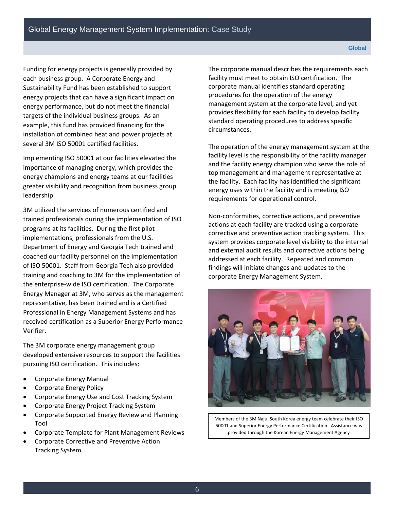Funding for energy projects is generally provided by each business group. A Corporate Energy and Sustainability Fund has been established to support energy projects that can have a significant impact on energy performance, but do not meet the financial targets of the individual business groups. As an example, this fund has provided financing for the installation of combined heat and power projects at several 3M ISO 50001 certified facilities.

Implementing ISO 50001 at our facilities elevated the importance of managing energy, which provides the energy champions and energy teams at our facilities greater visibility and recognition from business group leadership.

 programs at its facilities. During the first pilot of ISO 50001. Staff from Georgia Tech also provided 3M utilized the services of numerous certified and trained professionals during the implementation of ISO implementations, professionals from the U.S. Department of Energy and Georgia Tech trained and coached our facility personnel on the implementation training and coaching to 3M for the implementation of the enterprise-wide ISO certification. The Corporate Energy Manager at 3M, who serves as the management representative, has been trained and is a Certified Professional in Energy Management Systems and has received certification as a Superior Energy Performance Verifier.

The 3M corporate energy management group developed extensive resources to support the facilities pursuing ISO certification. This includes:

- Corporate Energy Manual
- Corporate Energy Policy
- Corporate Energy Use and Cost Tracking System
- Corporate Energy Project Tracking System
- Corporate Supported Energy Review and Planning Tool
- Corporate Template for Plant Management Reviews
- Corporate Corrective and Preventive Action Tracking System

 provides flexibility for each facility to develop facility standard operating procedures to address specific The corporate manual describes the requirements each facility must meet to obtain ISO certification. The corporate manual identifies standard operating procedures for the operation of the energy management system at the corporate level, and yet circumstances.

The operation of the energy management system at the facility level is the responsibility of the facility manager and the facility energy champion who serve the role of top management and management representative at the facility. Each facility has identified the significant energy uses within the facility and is meeting ISO requirements for operational control.

Non-conformities, corrective actions, and preventive actions at each facility are tracked using a corporate corrective and preventive action tracking system. This system provides corporate level visibility to the internal and external audit results and corrective actions being addressed at each facility. Repeated and common findings will initiate changes and updates to the corporate Energy Management System.



 50001 and Superior Energy Performance Certification. Assistance was Members of the 3M Naju, South Korea energy team celebrate their ISO provided through the Korean Energy Management Agency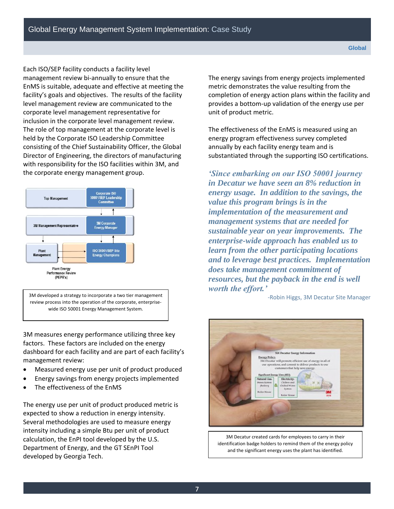facility's goals and objectives. The results of the facility inclusion in the corporate level management review. inclusion in the corporate level management review. The role of top management at the corporate level is Each ISO/SEP facility conducts a facility level management review bi-annually to ensure that the EnMS is suitable, adequate and effective at meeting the level management review are communicated to the corporate level management representative for held by the Corporate ISO Leadership Committee consisting of the Chief Sustainability Officer, the Global Director of Engineering, the directors of manufacturing with responsibility for the ISO facilities within 3M, and the corporate energy management group.



3M developed a strategy to incorporate a two tier management review process into the operation of the corporate, enterprisewide ISO 50001 Energy Management System.

3M measures energy performance utilizing three key factors. These factors are included on the energy dashboard for each facility and are part of each facility's management review:

- Measured energy use per unit of product produced
- Energy savings from energy projects implemented
- The effectiveness of the EnMS

 Department of Energy, and the GT SEnPI Tool The energy use per unit of product produced metric is expected to show a reduction in energy intensity. Several methodologies are used to measure energy intensity including a simple Btu per unit of product calculation, the EnPI tool developed by the U.S. developed by Georgia Tech.

 unit of product metric. The energy savings from energy projects implemented metric demonstrates the value resulting from the completion of energy action plans within the facility and provides a bottom-up validation of the energy use per

The effectiveness of the EnMS is measured using an energy program effectiveness survey completed annually by each facility energy team and is substantiated through the supporting ISO certifications.

*'Since embarking on our ISO 50001 journey in Decatur we have seen an 8% reduction in energy usage. In addition to the savings, the value this program brings is in the implementation of the measurement and management systems that are needed for sustainable year on year improvements. The enterprise-wide approach has enabled us to learn from the other participating locations and to leverage best practices. Implementation does take management commitment of resources, but the payback in the end is well worth the effort.'* 

-Robin Higgs, 3M Decatur Site Manager



3M Decatur created cards for employees to carry in their identification badge holders to remind them of the energy policy and the significant energy uses the plant has identified.